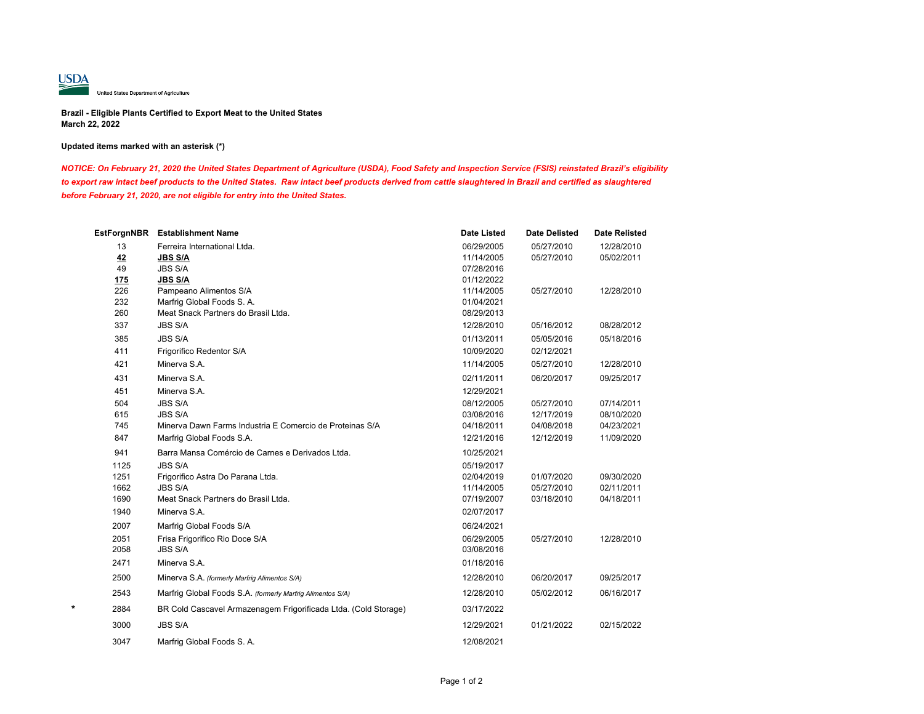

# **Brazil - Eligible Plants Certified to Export Meat to the United States March 22, 2022**

# **Updated items marked with an asterisk (\*)**

*NOTICE: On February 21, 2020 the United States Department of Agriculture (USDA), Food Safety and Inspection Service (FSIS) reinstated Brazil's eligibility*  to export raw intact beef products to the United States. Raw intact beef products derived from cattle slaughtered in Brazil and certified as slaughtered *before February 21, 2020, are not eligible for entry into the United States.*

|      | EstForgnNBR Establishment Name                                  | <b>Date Listed</b> | <b>Date Delisted</b> | <b>Date Relisted</b> |
|------|-----------------------------------------------------------------|--------------------|----------------------|----------------------|
| 13   | Ferreira International Ltda.                                    | 06/29/2005         | 05/27/2010           | 12/28/2010           |
| 42   | <b>JBS S/A</b>                                                  | 11/14/2005         | 05/27/2010           | 05/02/2011           |
| 49   | <b>JBS S/A</b>                                                  | 07/28/2016         |                      |                      |
| 175  | <b>JBS S/A</b>                                                  | 01/12/2022         |                      |                      |
| 226  | Pampeano Alimentos S/A                                          | 11/14/2005         | 05/27/2010           | 12/28/2010           |
| 232  | Marfrig Global Foods S. A.                                      | 01/04/2021         |                      |                      |
| 260  | Meat Snack Partners do Brasil Ltda.                             | 08/29/2013         |                      |                      |
| 337  | <b>JBS S/A</b>                                                  | 12/28/2010         | 05/16/2012           | 08/28/2012           |
| 385  | <b>JBS S/A</b>                                                  | 01/13/2011         | 05/05/2016           | 05/18/2016           |
| 411  | Frigorifico Redentor S/A                                        | 10/09/2020         | 02/12/2021           |                      |
| 421  | Minerva S.A.                                                    | 11/14/2005         | 05/27/2010           | 12/28/2010           |
| 431  | Minerva S.A.                                                    | 02/11/2011         | 06/20/2017           | 09/25/2017           |
| 451  | Minerva S.A.                                                    | 12/29/2021         |                      |                      |
| 504  | <b>JBS S/A</b>                                                  | 08/12/2005         | 05/27/2010           | 07/14/2011           |
| 615  | <b>JBS S/A</b>                                                  | 03/08/2016         | 12/17/2019           | 08/10/2020           |
| 745  | Minerva Dawn Farms Industria E Comercio de Proteinas S/A        | 04/18/2011         | 04/08/2018           | 04/23/2021           |
| 847  | Marfrig Global Foods S.A.                                       | 12/21/2016         | 12/12/2019           | 11/09/2020           |
| 941  | Barra Mansa Comércio de Carnes e Derivados Ltda.                | 10/25/2021         |                      |                      |
| 1125 | <b>JBS S/A</b>                                                  | 05/19/2017         |                      |                      |
| 1251 | Frigorifico Astra Do Parana Ltda.                               | 02/04/2019         | 01/07/2020           | 09/30/2020           |
| 1662 | <b>JBS S/A</b>                                                  | 11/14/2005         | 05/27/2010           | 02/11/2011           |
| 1690 | Meat Snack Partners do Brasil Ltda.                             | 07/19/2007         | 03/18/2010           | 04/18/2011           |
| 1940 | Minerva S.A.                                                    | 02/07/2017         |                      |                      |
| 2007 | Marfrig Global Foods S/A                                        | 06/24/2021         |                      |                      |
| 2051 | Frisa Frigorifico Rio Doce S/A                                  | 06/29/2005         | 05/27/2010           | 12/28/2010           |
| 2058 | <b>JBS S/A</b>                                                  | 03/08/2016         |                      |                      |
| 2471 | Minerva S.A.                                                    | 01/18/2016         |                      |                      |
| 2500 | Minerva S.A. (formerly Marfrig Alimentos S/A)                   | 12/28/2010         | 06/20/2017           | 09/25/2017           |
| 2543 | Marfrig Global Foods S.A. (formerly Marfrig Alimentos S/A)      | 12/28/2010         | 05/02/2012           | 06/16/2017           |
| 2884 | BR Cold Cascavel Armazenagem Frigorificada Ltda. (Cold Storage) | 03/17/2022         |                      |                      |
| 3000 | <b>JBS S/A</b>                                                  | 12/29/2021         | 01/21/2022           | 02/15/2022           |
| 3047 | Marfrig Global Foods S. A.                                      | 12/08/2021         |                      |                      |